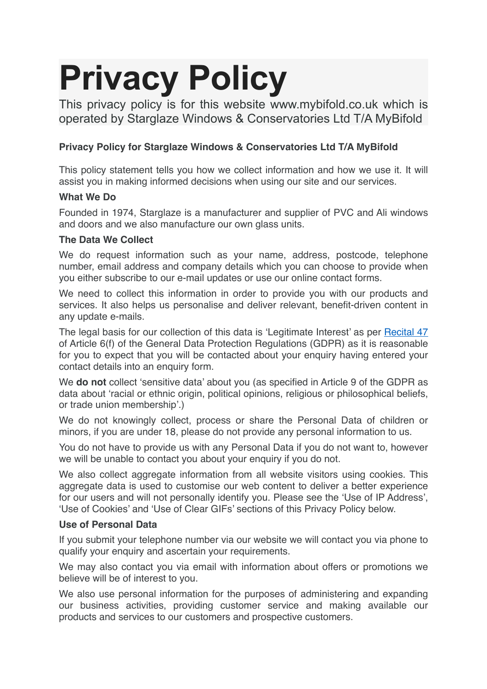# **Privacy Policy**

This privacy policy is for this website www.mybifold.co.uk which is operated by Starglaze Windows & Conservatories Ltd T/A MyBifold

# **Privacy Policy for Starglaze Windows & Conservatories Ltd T/A MyBifold**

This policy statement tells you how we collect information and how we use it. It will assist you in making informed decisions when using our site and our services.

## **What We Do**

Founded in 1974, Starglaze is a manufacturer and supplier of PVC and Ali windows and doors and we also manufacture our own glass units.

## **The Data We Collect**

We do request information such as your name, address, postcode, telephone number, email address and company details which you can choose to provide when you either subscribe to our e-mail updates or use our online contact forms.

We need to collect this information in order to provide you with our products and services. It also helps us personalise and deliver relevant, benefit-driven content in any update e-mails.

The legal basis for our collection of this data is 'Legitimate Interest' as per [Recital 47](http://www.privacy-regulation.eu/en/recital-47-GDPR.htm) of Article 6(f) of the General Data Protection Regulations (GDPR) as it is reasonable for you to expect that you will be contacted about your enquiry having entered your contact details into an enquiry form.

We **do not** collect 'sensitive data' about you (as specified in Article 9 of the GDPR as data about 'racial or ethnic origin, political opinions, religious or philosophical beliefs, or trade union membership'.)

We do not knowingly collect, process or share the Personal Data of children or minors, if you are under 18, please do not provide any personal information to us.

You do not have to provide us with any Personal Data if you do not want to, however we will be unable to contact you about your enquiry if you do not.

We also collect aggregate information from all website visitors using cookies. This aggregate data is used to customise our web content to deliver a better experience for our users and will not personally identify you. Please see the 'Use of IP Address', 'Use of Cookies' and 'Use of Clear GIFs' sections of this Privacy Policy below.

#### **Use of Personal Data**

If you submit your telephone number via our website we will contact you via phone to qualify your enquiry and ascertain your requirements.

We may also contact you via email with information about offers or promotions we believe will be of interest to you.

We also use personal information for the purposes of administering and expanding our business activities, providing customer service and making available our products and services to our customers and prospective customers.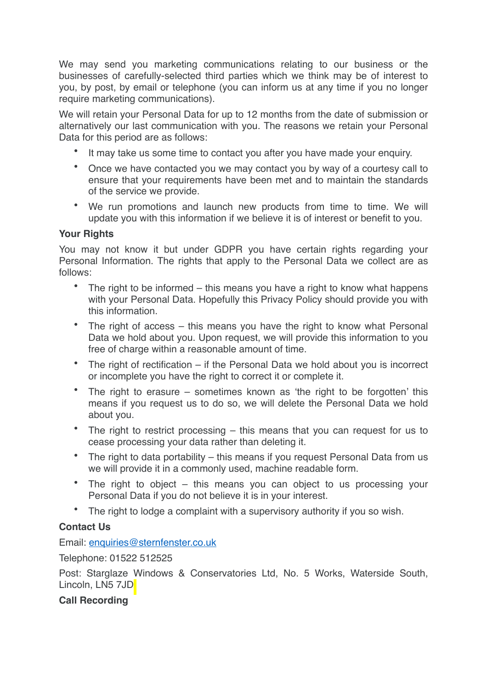We may send you marketing communications relating to our business or the businesses of carefully-selected third parties which we think may be of interest to you, by post, by email or telephone (you can inform us at any time if you no longer require marketing communications).

We will retain your Personal Data for up to 12 months from the date of submission or alternatively our last communication with you. The reasons we retain your Personal Data for this period are as follows:

- It may take us some time to contact you after you have made your enquiry.
- Once we have contacted you we may contact you by way of a courtesy call to ensure that your requirements have been met and to maintain the standards of the service we provide.
- We run promotions and launch new products from time to time. We will update you with this information if we believe it is of interest or benefit to you.

## **Your Rights**

You may not know it but under GDPR you have certain rights regarding your Personal Information. The rights that apply to the Personal Data we collect are as follows:

- The right to be informed this means you have a right to know what happens with your Personal Data. Hopefully this Privacy Policy should provide you with this information.
- The right of access this means you have the right to know what Personal Data we hold about you. Upon request, we will provide this information to you free of charge within a reasonable amount of time.
- The right of rectification if the Personal Data we hold about you is incorrect or incomplete you have the right to correct it or complete it.
- The right to erasure sometimes known as 'the right to be forgotten' this means if you request us to do so, we will delete the Personal Data we hold about you.
- The right to restrict processing this means that you can request for us to cease processing your data rather than deleting it.
- The right to data portability this means if you request Personal Data from us we will provide it in a commonly used, machine readable form.
- The right to object this means you can object to us processing your Personal Data if you do not believe it is in your interest.
- The right to lodge a complaint with a supervisory authority if you so wish.

# **Contact Us**

Email: [enquiries@sternfenster.co.uk](mailto:enquiries@sternfenster.co.uk)

Telephone: 01522 512525

Post: Starglaze Windows & Conservatories Ltd, No. 5 Works, Waterside South, Lincoln, LN5 7JD

# **Call Recording**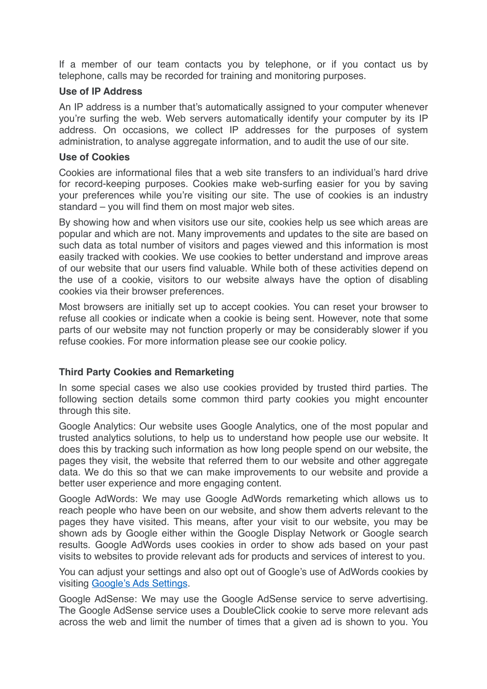If a member of our team contacts you by telephone, or if you contact us by telephone, calls may be recorded for training and monitoring purposes.

#### **Use of IP Address**

An IP address is a number that's automatically assigned to your computer whenever you're surfing the web. Web servers automatically identify your computer by its IP address. On occasions, we collect IP addresses for the purposes of system administration, to analyse aggregate information, and to audit the use of our site.

#### **Use of Cookies**

Cookies are informational files that a web site transfers to an individual's hard drive for record-keeping purposes. Cookies make web-surfing easier for you by saving your preferences while you're visiting our site. The use of cookies is an industry standard – you will find them on most major web sites.

By showing how and when visitors use our site, cookies help us see which areas are popular and which are not. Many improvements and updates to the site are based on such data as total number of visitors and pages viewed and this information is most easily tracked with cookies. We use cookies to better understand and improve areas of our website that our users find valuable. While both of these activities depend on the use of a cookie, visitors to our website always have the option of disabling cookies via their browser preferences.

Most browsers are initially set up to accept cookies. You can reset your browser to refuse all cookies or indicate when a cookie is being sent. However, note that some parts of our website may not function properly or may be considerably slower if you refuse cookies. For more information please see our cookie policy.

#### **Third Party Cookies and Remarketing**

In some special cases we also use cookies provided by trusted third parties. The following section details some common third party cookies you might encounter through this site.

Google Analytics: Our website uses Google Analytics, one of the most popular and trusted analytics solutions, to help us to understand how people use our website. It does this by tracking such information as how long people spend on our website, the pages they visit, the website that referred them to our website and other aggregate data. We do this so that we can make improvements to our website and provide a better user experience and more engaging content.

Google AdWords: We may use Google AdWords remarketing which allows us to reach people who have been on our website, and show them adverts relevant to the pages they have visited. This means, after your visit to our website, you may be shown ads by Google either within the Google Display Network or Google search results. Google AdWords uses cookies in order to show ads based on your past visits to websites to provide relevant ads for products and services of interest to you.

You can adjust your settings and also opt out of Google's use of AdWords cookies by visiting [Google's Ads Settings](https://adssettings.google.com/authenticated).

Google AdSense: We may use the Google AdSense service to serve advertising. The Google AdSense service uses a DoubleClick cookie to serve more relevant ads across the web and limit the number of times that a given ad is shown to you. You